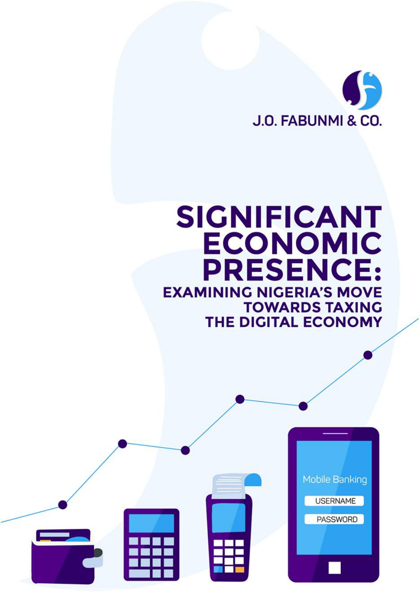

# **SIGNIFICANT ECONOMIC PRESENCE: EXAMINING NIGERIA'S MOVE TOWARDS TAXING** THE DIGITAL ECONOMY

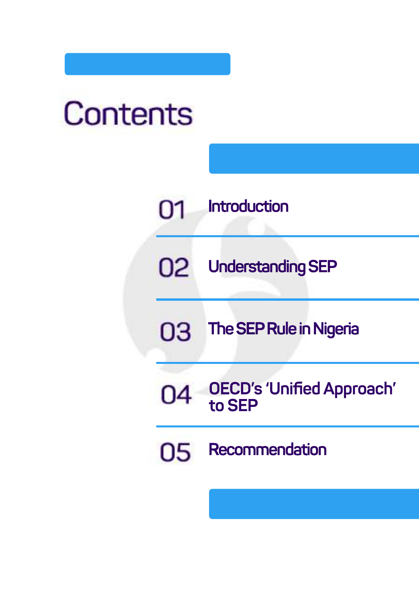# Contents



**UnderstandingSEP**

03 **The SEP Rule in Nigeria** 

**OECD's'UnifiedApproach' toSEP** 04

05 **Recommendation**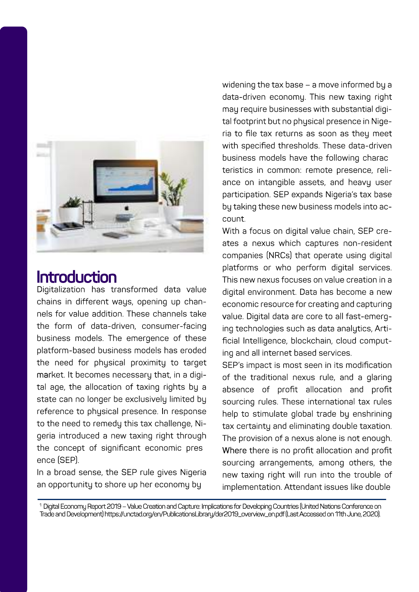

### **Introduction**

Digitalization has transformed data value chains in different ways, opening up channelsforvalueaddition.Thesechannelstake the form of data-driven, consumer-facing business models. The emergence of these platform-based business models has eroded the need for physical proximity to target market. It becomes necessary that, in a digital age, the allocation of taxing rights by a state can no longer be exclusively limited by reference to physical presence. In response to the need to remedu this tax challenge, Nigeria introduced a new taxing right through the concept of significant economic pres ence (SEP).

In a broad sense, the SEP rule gives Nigeria an opportunity to shore up her economy by

widening the tax base – a move informed by a data-driven economy. This new taxing right may require businesses with substantial digital footprint but no physical presence in Nigeria to file tax returns as soon as they meet with specified thresholds. These data-driven business models have the following charac teristics in common: remote presence, reliance on intangible assets, and heavy user participation. SEP expands Nigeria's tax base by taking these new business models into account.

With a focus on digital value chain, SEP creates a nexus which captures non-resident companies (NRCs) that operate using digital platforms or who perform digital services. This new nexus focuses on value creation in a digital environment. Data has become a new economic resource for creating and capturing value. Digital data are core to all fast-emerging technologies such as data analytics, Artificial Intelligence, blockchain, cloud computing and all internet based services.

SEP's impact is most seen in its modification of the traditional nexus rule, and a glaring absence of profit allocation and profit sourcing rules. These international tax rules help to stimulate global trade by enshrining tax certainty and eliminating double taxation. The provision of a nexus alone is not enough. Where there is no profit allocation and profit sourcing arrangements, among others, the new taxing right will run into the trouble of implementation. Attendant issues like double

1DigitalEconomyReport2019–ValueCreationandCapture:ImplicationsforDevelopingCountries(UnitedNationsConferenceon Tradeand Development) https://unctad.org/en/PublicationsLibrary/der2019\_overview\_en.pdf (Last Accessed on 11th June, 2020).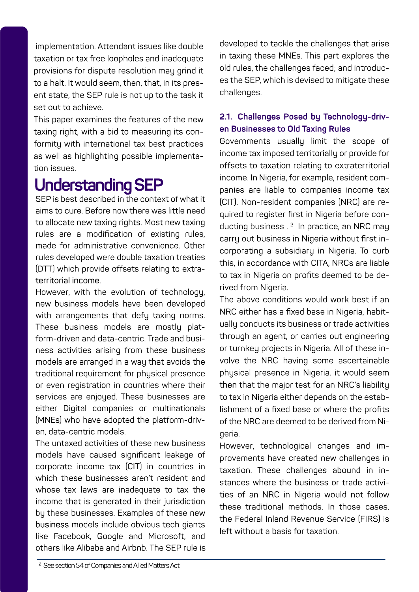implementation. Attendant issues like double taxation or tax free loopholes and inadequate provisions for dispute resolution may grind it to a halt. It would seem, then, that, in its present state, the SEP rule is not up to the task it set out to achieve.

This paper examines the features of the new taxing right, with a bid to measuring its conformity with international tax best practices as well as highlighting possible implementationissues.

# **UnderstandingSEP**

SEP is hest described in the context of what it aims to cure. Before now there was little need to allocate new taxing rights. Most new taxing rules are a modification of existing rules, made for administrative convenience. Other rules developed were double taxation treaties (DTT) which provide offsets relating to extraterritorialincome.

However, with the evolution of technology, new business models have been developed with arrangements that defy taxing norms. These business models are mostlu platform-driven and data-centric. Trade and business activities arising from these business models are arranged in a way that avoids the traditional requirement for physical presence or even registration in countries where their services are enjoued. These businesses are either Digital companies or multinationals (MNEs) who have adopted the platform-driven, data-centric models.

The untaxed activities of these new business models have caused significant leakage of corporate income tax (CIT) in countries in which these businesses aren't resident and whose tax laws are inadequate to tax the income that is generated in their jurisdiction bu these businesses. Examples of these new business models include obvious tech giants like Facebook, Google and Microsoft, and others like Alibaba and Airbnb. The SEP rule is developed to tackle the challenges that arise in taxing these MNEs. This part explores the old rules, the challenges faced; and introduces the SEP, which is devised to mitigate these challenges.

#### 2.1. Challenges Posed by Technology-driv**enBusinessestoOldTaxingRules**

Governments usually limit the scope of income tax imposed territorially or provide for offsets to taxation relating to extraterritorial income. In Nigeria, for example, resident companies are liable to companies income tax (CIT). Non-resident companies (NRC) are required to register first in Nigeria before conducting business.<sup>2</sup> In practice, an NRC mau carry out business in Nigeria without first incorporating a subsidiary in Nigeria. To curb this, in accordance with CITA, NRCs are liable. to tax in Nigeria on profits deemed to be derived from Nigeria.

The above conditions would work best if an NRC either has a fixed base in Nigeria, habitually conducts its business or trade activities through an agent, or carries out engineering or turnkey projects in Nigeria. All of these involve the NRC having some ascertainable physical presence in Nigeria. it would seem then that the major test for an NRC's liability to tax in Nigeria either depends on the establishment of a fixed base or where the profits of the NRC are deemed to be derived from Nigeria.

However, technological changes and improvements have created new challenges in taxation.These challenges abound in instances where the business or trade activities of an NRC in Nigeria would not follow these traditional methods. In those cases, the Federal Inland Revenue Service (FIRS) is left without a basis for taxation.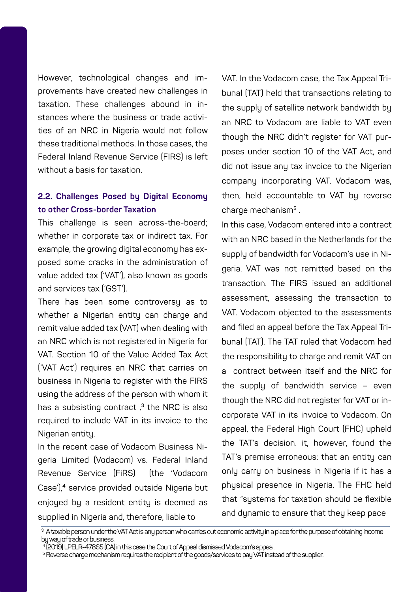However, technological changes and improvements have created new challenges in taxation. These challenges abound in instances where the business or trade activities of an NRC in Nigeria would not follow these traditional methods. In those cases, the Federal Inland Revenue Service (FIRS) is left without a basis for taxation

#### 2.2. Challenges Posed by Digital Economy to other Cross-border Taxation

This challenge is seen across-the-board; whether in corporate tax or indirect tax. For example, the growing digital economy has exposed some cracks in the administration of value added tax ('VAT'), also known as goods and services tax ('GST').

There has been some controversu as to whether a Nigerian entity can charge and remit value added tax (VAT) when dealing with an NRC which is not registered in Nigeria for VAT. Section 10 of the Value Added Tax Act I'VAT Act'l requires an NRC that carries on business in Nigeria to register with the FIRS using the address of the person with whom it has a subsisting contract.<sup>3</sup> the NRC is also required to include VAT in its invoice to the Nigerian entitu.

In the recent case of Vodacom Business Nigeria Limited (Vodacom) vs. Federal Inland Revenue Service (FiRS) fthe Vodacom Case'),<sup>4</sup> service provided outside Nigeria but enioued bu a resident entitu is deemed as supplied in Nigeria and, therefore, liable to

VAT. In the Vodacom case, the Tax Appeal Tribunal (TAT) held that transactions relating to the supplu of satellite network bandwidth bu an NRC to Vodacom are liable to VAT even though the NRC didn't register for VAT purposes under section 10 of the VAT Act. and did not issue any tax invoice to the Nigerian company incorporating VAT. Vodacom was. then, held accountable to VAT by reverse charge mechanism<sup>5</sup>.

In this case. Vodacom entered into a contract with an NRC hased in the Netherlands for the supplu of bandwidth for Vodacom's use in Nineria VAT was not remitted based on the transaction. The FIRS issued an additional assessment, assessing the transaction to VAT. Vodacom objected to the assessments and filed an appeal before the Tax Appeal Tribunal (TAT). The TAT ruled that Vodacom had the responsibility to charge and remit VAT on a contract hetween itself and the NRC for the supplu of bandwidth service - even though the NRC did not register for VAT or incorporate VAT in its invoice to Vodacom. On appeal, the Federal High Court (FHC) upheld the TAT's decision, it, however, found the TAT's premise erroneous: that an entitu can only carry on business in Nigeria if it has a phusical presence in Nigeria. The FHC held that "sustems for taxation should be flexible and dunamic to ensure that theu keep pace

<sup>&</sup>lt;sup>3</sup> A taxable person under the VAT Act is any person who carries out economic activity in a place for the purpose of obtaining income bu way of trade or business

<sup>4 2019)</sup> LPELR-47865 (CA) in this case the Court of Appeal dismissed Vodacom's appeal.

<sup>&</sup>lt;sup>5</sup> Reverse charge mechanism requires the recipient of the goods/services to pau VAT instead of the supplier.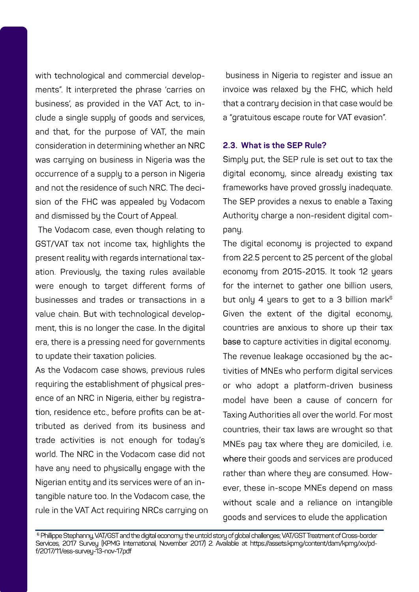with technological and commercial developments". It interpreted the phrase 'carries on business', as provided in the VAT Act, to include a single supply of goods and services. and that, for the purpose of VAT, the main consideration in determining whether an NRC was carruing on business in Nigeria was the occurrence of a supply to a person in Nigeria and not the residence of such NRC. The decision of the FHC was appealed bu Vodacom and dismissed bu the Court of Appeal.

The Vodacom case, even though relating to GST/VAT tax not income tax, highlights the present reality with regards international taxation. Previouslu, the taxing rules available were enough to target different forms of businesses and trades or transactions in a value chain. But with technological development, this is no longer the case. In the digital era, there is a pressing need for governments to update their taxation policies.

As the Vodacom case shows, previous rules requiring the establishment of physical presence of an NRC in Nigeria, either bu registration, residence etc., before profits can be attributed as derived from its business and trade activities is not enough for today's world. The NRC in the Vodacom case did not have any need to physically engage with the Nigerian entity and its services were of an intangible nature too. In the Vodacom case, the rule in the VAT Act requiring NRCs carruing on

business in Nigeria to register and issue an invoice was relaxed by the FHC, which held that a contrary decision in that case would be a "gratuitous escape route for VAT evasion".

#### **2.3.WhatistheSEPRule?**

Simply put, the SEP rule is set out to tax the digital economy, since already existing tax frameworks have proved grossly inadequate. The SEP provides a nexus to enable a Taxing Authority charge a non-resident digital company.

The digital economy is projected to expand from 22.5 percent to 25 percent of the global economy from 2015-2015. It took 12 years for the internet to gather one billion users, but only 4 years to get to a 3 billion mark<sup>6</sup> Given the extent of the digital economy, countries are anxious to shore up their tax base to capture activities in digital economy. The revenue leakage occasioned by the activities of MNEs who perform digital services or who adopt a platform-driven business model have been a cause of concern for Taxing Authorities all over the world. For most countries, their tax laws are wrought so that MNEs pay tax where they are domiciled, i.e. where their goods and services are produced rather than where they are consumed. However, these in-scope MNEs depend on mass without scale and a reliance on intangible goods and services to elude the application

Philippe Stephanny, VAT/GST and the digital economy: the untold story of global challenges; VAT/GST Treatment of Cross-border Services,2017Survey(KPMGInternational,November2017)2.Availableathttps://assets.kpmg/content/dam/kpmg/xx/pdf/2017/11/ess-survey-13-nov-17.pdf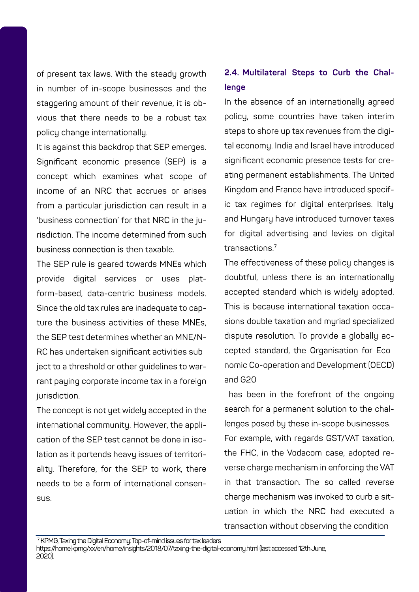of present tax laws. With the steady growth in number of in-scope businesses and the stangering amount of their revenue, it is obvious that there needs to be a robust tax policy change internationally.

It is against this backdrop that SEP emerges. Significant economic presence (SEP) is a concept which examines what scope of income of an NRC that accrues or arises from a particular jurisdiction can result in a 'business connection' for that NRC in the iurisdiction. The income determined from such business connection is then taxable.

The SEP rule is geared towards MNEs which provide digital services or uses platform-based, data-centric business models. Since the old tax rules are inadequate to canture the business activities of these MNEs. the SEP test determines whether an MNE/N-RC has undertaken significant activities sub ject to a threshold or other guidelines to warrant paying corporate income tax in a foreign jurisdiction.

The concept is not yet widely accepted in the international community. However, the application of the SEP test cannot be done in isolation as it portends heavy issues of territorialitu. Therefore, for the SEP to work, there needs to be a form of international consensus.

#### 2.4. Multilateral Steps to Curb the Chal**lenge**

In the absence of an internationally agreed policy, some countries have taken interim steps to shore up tax revenues from the digital economy. India and Israel have introduced significant economic presence tests for creating permanent establishments. The United Kingdom and France have introduced specific tax regimes for digital enterprises. Italy and Hungary have introduced turnover taxes for digital advertising and levies on digital transactions.7

The effectiveness of these policy changes is doubtful, unless there is an internationally accepted standard which is widely adopted. This is because international taxation occasions double taxation and muriad specialized dispute resolution. To provide a globally accepted standard, the Organisation for Eco nomicCo-operationandDevelopment(OECD) andG20

has been in the forefront of the ongoing search for a permanent solution to the challenges posed by these in-scope businesses. For example, with regards GST/VAT taxation, the FHC, in the Vodacom case, adopted reverse charge mechanism in enforcing the VAT in that transaction. The so called reverse charge mechanism was invoked to curb a situation in which the NRC had executed a transaction without observing the condition

7KPMG,TaxingtheDigitalEconomy:Top-of-mindissuesfortaxleaders https://home.kpmg/xx/en/home/insights/2018/07/taxing-the-digital-economy.html (last accessed 12th June, 2020).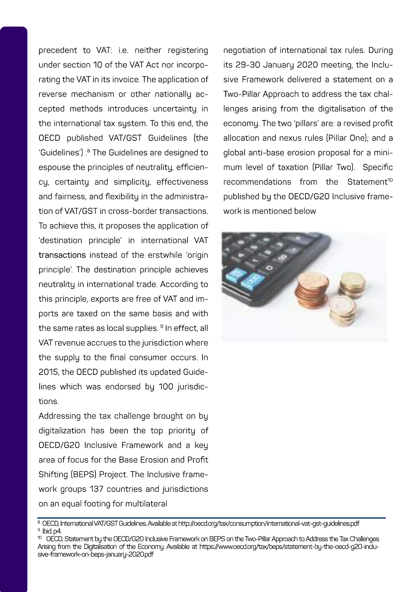precedent to VAT: i.e. neither registering under section 10 of the VAT Act nor incorporating the VAT in its invoice. The application of reverse mechanism or other nationally accepted methods introduces uncertainty in the international tax sustem. To this end, the OECD published VAT/GST Guidelines (the 'Guidelines').<sup>8</sup> The Guidelines are designed to espouse the principles of neutrality, efficiencu, certaintu and simplicitu, effectiveness and fairness, and flexibility in the administration of VAT/GST in cross-border transactions To achieve this, it proposes the application of 'destination principle' in international VAT transactions instead of the erstwhile 'origin principle. The destination principle achieves neutrality in international trade. According to this principle, exports are free of VAT and imnorts are taxed on the same basis and with the same rates as local supplies. <sup>9</sup> In effect, all VAT revenue accrues to the jurisdiction where the supplu to the final consumer occurs. In 2015, the OECD published its updated Guidelines which was endorsed bu 100 jurisdictinns

Addressing the tax challenge brought on by digitalization has been the top priority of OECD/G20 Inclusive Framework and a key area of focus for the Base Erosion and Profit Shifting (BEPS) Project. The Inclusive framework groups 137 countries and jurisdictions on an equal footing for multilateral

negotiation of international tax rules. During its 29-30 Januaru 2020 meeting, the Inclusive Framework delivered a statement on a Two-Pillar Approach to address the tax challenges arising from the digitalisation of the economu. The two 'pillars' are: a revised profit allocation and nexus rules (Pillar One); and a olobal anti-base erosion proposal for a minimum level of taxation (Pillar Two). Specific recommendations from the Statement<sup>10</sup> published bu the OECD/G20 Inclusive framework is mentioned below



<sup>&</sup>lt;sup>8</sup> OECD International VAT/GST Guidelines Available at http://peod.org/tax/onnsumption/international-vat-ost-quidelines.ndf  $9$  hid  $p4$ 

<sup>&</sup>lt;sup>10</sup> OECD, Statement bu the OECD/G20 Inclusive Framework on BEPS on the Two-Pillar Approach to Address the Tax Challenges Arising from the Digitalisation of the Economy, Available at https://www.oeod.org/tax/beps/statement-by-the-oecd-g20-inclusive-framework-on-beps-januaru-2020.pdf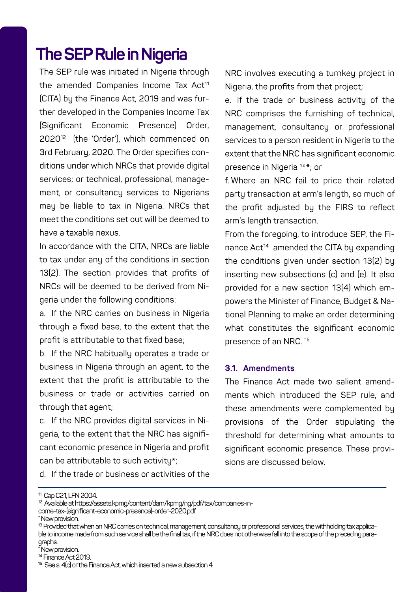### **The SEP Rule in Nigeria**

The SEP rule was initiated in Nigeria through the amended Companies Income Tax Act<sup>11</sup> (CITA) by the Finance Act, 2019 and was further developed in the Companies Income Tax (Significant Economic Presence) Order, 2020<sup>12</sup> (the 'Order'), which commenced on 3rd February, 2020. The Order specifies conditions under which NRCs that provide digital services; or technical, professional, management, or consultancy services to Nigerians may be liable to tax in Nigeria. NRCs that meet the conditions set out will be deemed to haveataxablenexus.

In accordance with the CITA, NRCs are liable to tax under any of the conditions in section 13(2). The section provides that profits of NRCs will be deemed to be derived from Nigeria under the following conditions:

a. If the NRC carries on business in Nigeria through a fixed base, to the extent that the profit is attributable to that fixed base;

b. If the NRC habitually operates a trade or business in Nigeria through an agent, to the extent that the profit is attributable to the business or trade or activities carried on through that agent:

c. If the NRC provides digital services in Nigeria, to the extent that the NRC has significant economic presence in Nigeria and profit can be attributable to such activity\*;

NRC involves executing a turnkey project in Nigeria, the profits from that project;

e. If the trade or business activity of the NRC comprises the furnishing of technical, management, consultancy or professional services to a person resident in Nigeria to the extent that the NRC has significant economic presence in Nigeria<sup>13\*</sup>; or

f. Where an NRC fail to price their related party transaction at arm's length, so much of the profit adjusted by the FIRS to reflect arm's length transaction.

From the foregoing, to introduce SEP, the Finance Act<sup>14</sup> amended the CITA by expanding the conditions given under section 13(2) by inserting new subsections (c) and (e). It also provided for a new section 13(4) which empowers the Minister of Finance, Budget & National Planning to make an order determining what constitutes the significant economic presence of an NRC.<sup>15</sup>

#### **3.1.Amendments**

The Finance Act made two salient amendments which introduced the SEP rule, and these amendments were complemented by provisions of the Order stipulating the threshold for determining what amounts to significant economic presence. These provisions are discussed below.

d.Ifthetradeorbusinessoractivitiesofthe

\*Newprovision.

<sup>11</sup>CapC21,LFN2004.

<sup>12</sup>Availableathttps://assets.kpmg/content/dam/kpmg/ng/pdf/tax/companies-income-tax-(significant-economic-presence)-order-2020.pdf

<sup>13</sup>ProvidedthatwhenanNRCcarriesontechnical,management,consultancyorprofessionalservices,thewithholdingtaxapplicable to income made from such service shall be the final tax, if the NRC does not otherwise fall into the scope of the preceding paragraphs.

New provision. 14FinanceAct2019.

<sup>15</sup>Sees.4(c)ortheFinanceAct,whichinsertedanewsubsection4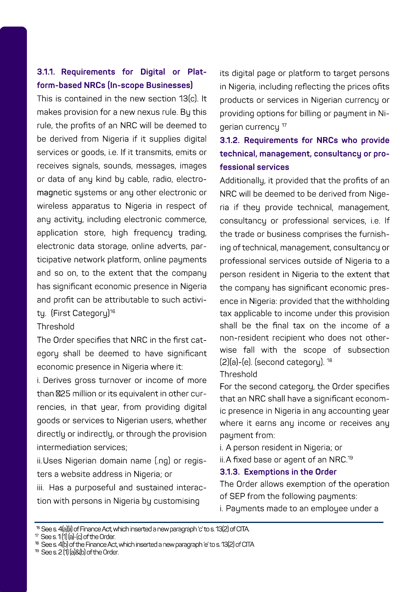#### 3.1.1. Requirements for Digital or Platform-based NRCs (In-scope Businesses)

This is contained in the new section 13(c). It makes provision for a new nexus rule. Bu this rule, the profits of an NRC will be deemed to be derived from Nigeria if it supplies digital services or goods, i.e. If it transmits, emits or receives signals, sounds, messages, images or data of any kind by cable, radio, electromagnetic sustems or any other electronic or wireless apparatus to Nigeria in respect of any activity, including electronic commerce, application store, high frequency trading, electronic data storage, online adverts, participative network platform, online pauments and so on, to the extent that the company has significant economic presence in Nigeria and profit can be attributable to such activity. (First Category)<sup>16</sup>

#### Threshold

The Order specifies that NRC in the first category shall be deemed to have significant economic presence in Nigeria where it:

i. Derives gross turnover or income of more than @25 million or its equivalent in other currencies, in that year, from providing digital goods or services to Nigerian users, whether directly or indirectly, or through the provision intermediation services:

ii.Uses Nigerian domain name [.ng] or registers a website address in Nigeria: or

iii. Has a nurnoseful and sustained interaction with persons in Nigeria by customising

its digital page or platform to target persons in Nigeria, including reflecting the prices ofits products or services in Nigerian currency or providing options for billing or payment in Nigerian currency<sup>17</sup>

#### 3.1.2. Requirements for NRCs who provide technical, management, consultancy or professional services

Additionally, it provided that the profits of an NRC will be deemed to be derived from Nigeria if they provide technical, management, consultancy or professional services, i.e. If the trade or business comprises the furnishing of technical, management, consultancy or professional services outside of Nigeria to a person resident in Nigeria to the extent that the company has significant economic presence in Nigeria: provided that the withholding tax applicable to income under this provision shall be the final tax on the income of a non-resident recipient who does not otherwise fall with the scope of subsection (2)(a)-(e), (second categoru), <sup>18</sup>

#### Threshold

For the second category, the Order specifies that an NRC shall have a significant economic presence in Nigeria in any accounting year where it earns any income or receives any paument from:

i. A person resident in Nigeria: or

ii.A fixed base or agent of an NRC.<sup>19</sup>

#### 3.1.3. Exemptions in the Order

The Order allows exemption of the operation of SEP from the following payments: i. Payments made to an employee under a

" See s. 1(1) [a]-(c) of the Order

<sup>19</sup> See s 2 [1] [al&fh] of the Order

<sup>&</sup>lt;sup>16</sup> See s. 4fallil of Finance Act which inserted a new caragraph it to s. 13(2) of CITA.

<sup>&</sup>lt;sup>18</sup> See s. 4(b) of the Finance Act, which inserted a new paragraph (e' to s. 13(2) of CITA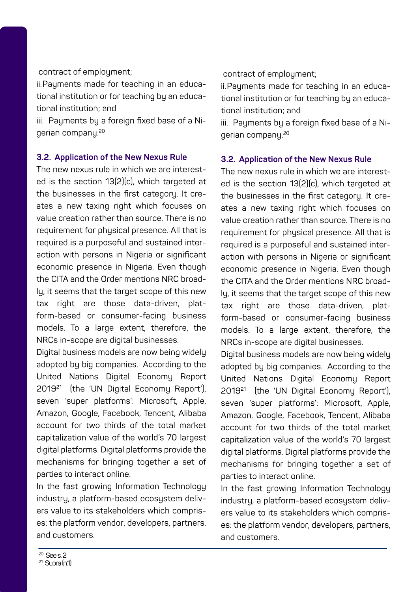#### contract of employment;

ii.Pauments made for teaching in an educational institution or for teaching by an educationalinstitution;and

iii. Pauments bu a foreign fixed base of a Nigerian company.<sup>20</sup>

#### **3.2. Application of the New Nexus Rule**

The new nexus rule in which we are interested is the section 13(2)(c), which targeted at the businesses in the first category. It creates a new taxing right which focuses on value creation rather than source. There is no requirement for phusical presence. All that is required is a purposeful and sustained interaction with persons in Nigeria or significant economic presence in Nigeria. Even though the CITA and the Order mentions NRC broadly, it seems that the target scope of this new tax right are those data-driven, platform-based or consumer-facing business models. To a large extent, therefore, the NRCs in-scope are digital businesses.

Digital business models are now being widely adopted by big companies. According to the United Nations Digital Economy Report 2019<sup>21</sup> (the 'UN Digital Economy Report'), seven 'super platforms': Microsoft, Apple, Amazon, Google, Facebook, Tencent, Alibaba account for two thirds of the total market capitalization value of the world's 70 largest digital platforms. Digital platforms provide the mechanisms for bringing together a set of parties to interact online.

In the fast growing Information Technology industry, a platform-based ecosystem delivers value to its stakeholders which comprises: the platform vendor, developers, partners, andcustomers.

#### contract of employment;

ii.Payments made for teaching in an educational institution or for teaching by an educationalinstitution;and

iii. Payments by a foreign fixed base of a Nigerian company.<sup>20</sup>

#### **3.2. Application of the New Nexus Rule**

The new nexus rule in which we are interested is the section 13(2)(c), which targeted at the businesses in the first category. It creates a new taxing right which focuses on value creation rather than source. There is no requirement for physical presence. All that is required is a purposeful and sustained interaction with persons in Nigeria or significant economic presence in Nigeria. Even though the CITA and the Order mentions NRC broadly, it seems that the target scope of this new tax right are those data-driven, platform-based or consumer-facing business models. To a large extent, therefore, the NRCs in-scope are digital businesses.

Digital business models are now being widely adopted by big companies. According to the United Nations Digital Economy Report 2019<sup>21</sup> (the 'UN Digital Economy Report'), seven 'super platforms': Microsoft, Apple, Amazon, Google, Facebook, Tencent, Alibaba account for two thirds of the total market capitalization value of the world's 70 largest digital platforms. Digital platforms provide the mechanisms for bringing together a set of parties to interact online.

In the fast growing Information Technology industry, a platform-based ecosystem delivers value to its stakeholders which comprises: the platform vendor, developers, partners, andcustomers.

Sees.2 21Supra(n.1)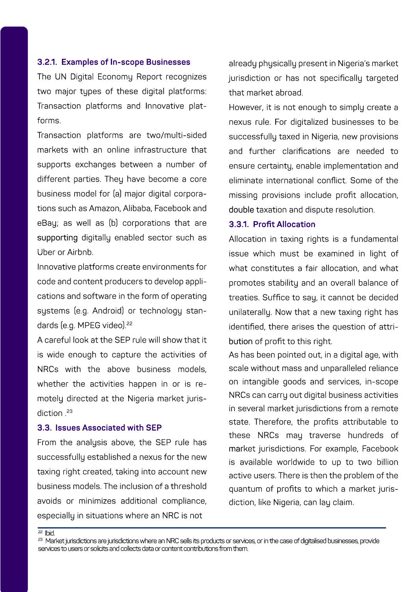#### **3.2.1.ExamplesofIn-scopeBusinesses**

The UN Digital Economy Report recognizes two major tupes of these digital platforms: Transaction platforms and Innovative platforms.

Transaction platforms are two/multi-sided markets with an online infrastructure that supports exchanges between a number of different parties. They have become a core business model for (a) major digital corporations such as Amazon, Alibaba, Facebook and eBau; as well as (b) corporations that are supporting digitally enabled sector such as UberorAirbnb.

Innovative platforms create environments for code and content producers to develop applications and software in the form of operating systems (e.g. Android) or technology standards (e.g. MPEG video).<sup>22</sup>

A careful look at the SEP rule will show that it is wide enough to capture the activities of NRCs with the above business models. whether the activities happen in or is remotely directed at the Nigeria market jurisdiction<sup>23</sup>

#### **3.3.IssuesAssociatedwithSEP**

From the analysis above, the SEP rule has successfullu established a nexus for the new taxing right created, taking into account new businessmodels.Theinclusionofathreshold avoids or minimizes additional compliance. especially in situations where an NRC is not

already physically present in Nigeria's market jurisdiction or has not specifically targeted that market abroad.

However, it is not enough to simply create a nexus rule. For digitalized businesses to be successfully taxed in Nigeria, new provisions and further clarifications are needed to ensure certainty, enable implementation and eliminate international conflict. Some of the missing provisions include profit allocation. double taxation and dispute resolution.

#### **3.3.1.ProfitAllocation**

Allocation in taxing rights is a fundamental issue which must be examined in light of what constitutes a fair allocation, and what promotes stability and an overall balance of treaties. Suffice to say, it cannot be decided unilaterally. Now that a new taxing right has identified, there arises the question of attribution of profit to this right.

As has been pointed out, in a digital age, with scale without mass and unparalleled reliance on intangible goods and services, in-scope NRCs can carry out digital business activities in several market jurisdictions from a remote state. Therefore, the profits attributable to these NRCs may traverse hundreds of market jurisdictions. For example, Facebook is available worldwide to up to two billion active users. There is then the problem of the quantum of profits to which a market jurisdiction, like Nigeria, can lau claim.

<sup>22</sup>Ibid.

<sup>23</sup> MarketjurisdictionsarejurisdictionswhereanNRCsellsitsproductsorservices,orinthecaseofdigitalisedbusinesses,provide services to users or solicits and collects data or content contributions from them.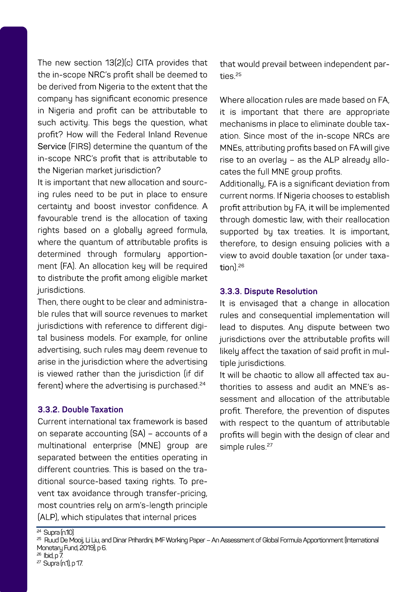The new section 13(2)(c) CITA provides that the in-scope NRC's profit shall be deemed to be derived from Nigeria to the extent that the company has significant economic presence in Nigeria and profit can be attributable to such activity. This begs the question, what profit? How will the Federal Inland Revenue Service (FIRS) determine the quantum of the in-scope NRC's profit that is attributable to the Nigerian market jurisdiction?

It is important that new allocation and sourcing rules need to be put in place to ensure certaintu and boost investor confidence. A favourable trend is the allocation of taxing rights based on a globally agreed formula, where the quantum of attributable profits is determined through formulary apportionment (FA). An allocation key will be required to distribute the profit among eligible market jurisdictions.

Then, there ought to be clear and administrable rules that will source revenues to market jurisdictions with reference to different digital business models. For example, for online advertising, such rules may deem revenue to arise in the jurisdiction where the advertising is viewed rather than the jurisdiction (if dif ferent) where the advertising is purchased.<sup>24</sup>

#### **3.3.2.DoubleTaxation**

Current international tax framework is based on separate accounting (SA) – accounts of a multinational enterprise (MNE) group are separated between the entities operating in different countries. This is based on the traditional source-based taxing rights. To prevent tax avoidance through transfer-pricing, most countries rely on arm's-length principle (ALP), which stipulates that internal prices

that would prevail between independent parties.25

Where allocation rules are made based on FA. it is important that there are appropriate mechanisms in place to eliminate double taxation. Since most of the in-scope NRCs are MNEs, attributing profits based on FA will give rise to an overlay – as the ALP already allocates the full MNE group profits.

Additionally, FA is a significant deviation from current norms. If Nigeria chooses to establish profit attribution bu FA, it will be implemented through domestic law, with their reallocation supported by tax treaties. It is important, therefore, to design ensuing policies with a view to avoid double taxation (or under taxation)<sup>26</sup>

#### **3.3.3.DisputeResolution**

It is envisaged that a change in allocation rules and consequential implementation will lead to disputes. Any dispute between two jurisdictions over the attributable profits will likely affect the taxation of said profit in multiple jurisdictions.

It will be chaotic to allow all affected tax authorities to assess and audit an MNE's assessment and allocation of the attributable profit. Therefore, the prevention of disputes with respect to the quantum of attributable profits will begin with the design of clear and simple rules.<sup>27</sup>

- <sup>26</sup> Ibid,p7
- $27$  Supra (n1), p.17.

 $24$  Supra(n.10)

<sup>25</sup> RuudDeMooij,LiLiu,andDinarPrihardini,IMFWorkingPaper–AnAssessmentofGlobalFormulaApportionment(International Monetary Fund, 2019), p6.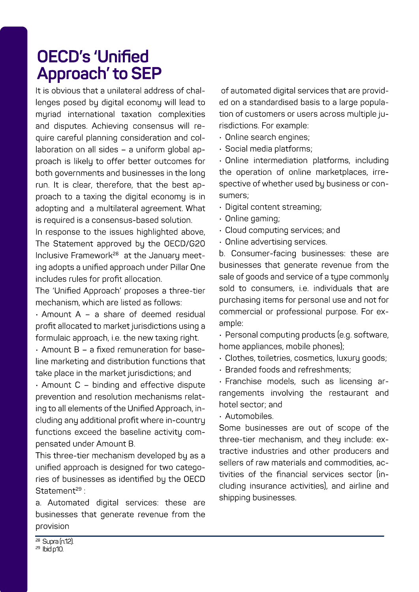## OFCD's 'Unified Approach' to SEP

It is obvious that a unilateral address of challenges posed by digital economy will lead to muriad international taxation complexities and disputes. Achieving consensus will require careful planning consideration and collaboration on all sides - a uniform global approach is likely to offer better outcomes for both governments and businesses in the long run. It is clear, therefore, that the best approach to a taxing the digital economy is in adopting and a multilateral agreement. What is required is a consensus-based solution.

In response to the issues highlighted above, The Statement approved bu the OECD/G20 Inclusive Framework<sup>28</sup> at the Januaru meeting adopts a unified approach under Pillar One includes rules for profit allocation.

The 'Unified Approach' proposes a three-tier mechanism which are listed as follows:

 $\Delta$ mount  $\Delta$  = a share of deemed residual profit allocated to market jurisdictions using a formulaic approach, i.e. the new taxing right.

· Amount B - a fixed remuneration for baseline marketing and distribution functions that take place in the market iurisdictions: and

· Amount C - binding and effective dispute prevention and resolution mechanisms relating to all elements of the Unified Approach, including any additional profit where in-country functions exceed the baseline activitu compensated under Amount B

This three-tier mechanism developed bu as a unified approach is designed for two categories of businesses as identified by the OECD Statement<sup>29</sup>

a. Automated digital services: these are businesses that generate revenue from the nrovision

of automated digital services that are provided on a standardised basis to a large population of customers or users across multiple jurisdictions. For example:

- · Online search engines:
- · Social media platforms:

· Online intermediation platforms, including the operation of online marketplaces, irrespective of whether used bu business or consumers:

· Digital content streaming;

- · Online gaming:
- · Cloud computing services: and

· Online advertising services.

b. Consumer-facing businesses: these are businesses that generate revenue from the sale of goods and service of a type commonly sold to consumers i.e. individuals that are purchasing items for personal use and not for commercial or professional purpose. For examole:

- Personal computing products (e.g. software, home appliances, mobile phones);

· Clothes, toiletries, cosmetics, luxuru goods:

- Branded foods and refreshments:

· Franchise models, such as licensing arrangements involving the restaurant and hotel sector: and

- Automobiles

Some businesses are out of scope of the three-tier mechanism, and they include: extractive industries and other producers and sellers of raw materials and commodities, activities of the financial services sector (including insurance activities), and airline and shipping businesses.

<sup>s</sup> Sunraín 121 <sup>29</sup> bid o'lD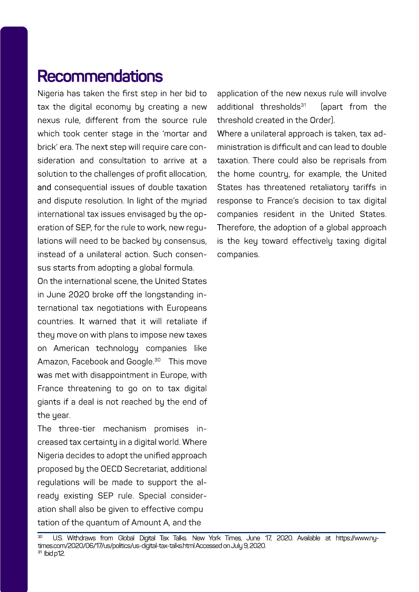### **Recommendations**

Nigeria has taken the first step in her bid to tax the digital economy by creating a new nexus rule, different from the source rule which took center stage in the 'mortar and brick' era. The next step will require care consideration and consultation to arrive at a solution to the challenges of profit allocation. and consequential issues of double taxation and dispute resolution. In light of the muriad international tax issues envisaged by the operation of SEP, for the rule to work, new regulations will need to be backed by consensus, instead of a unilateral action. Such consensus starts from adopting a global formula.

On the international scene, the United States in June 2020 broke off the longstanding international tax negotiations with Europeans countries. It warned that it will retaliate if they move on with plans to impose new taxes on American technology companies like Amazon, Facebook and Google.<sup>30</sup> This move was met with disappointment in Europe, with France threatening to go on to tax digital giants if a deal is not reached by the end of the uear.

The three-tier mechanism promises increased tax certaintu in a digital world. Where Nigeria decides to adopt the unified approach proposed by the OECD Secretariat, additional regulations will be made to support the already existing SEP rule. Special consideration shall also be given to effective compu tation of the quantum of Amount A, and the

application of the new nexus rule will involve additional thresholds<sup>31</sup> (apart from the threshold created in the Order).

Where a unilateral approach is taken, tax administrationisdifficultandcanleadtodouble taxation. There could also be reprisals from the home countru, for example, the United States has threatened retaliatory tariffs in response to France's decision to tax digital companies resident in the United States. Therefore, the adoption of a global approach is the key toward effectively taxing digital companies.

U.S. Withdraws from Global Digital Tax Talks. New York Times, June 17, 2020. Available at https://www.nytimes.com/2020/06/17/us/politics/us-digital-tax-talks.html Accessed on July 9, 2020.  $31$  Ibid o' $12$ .